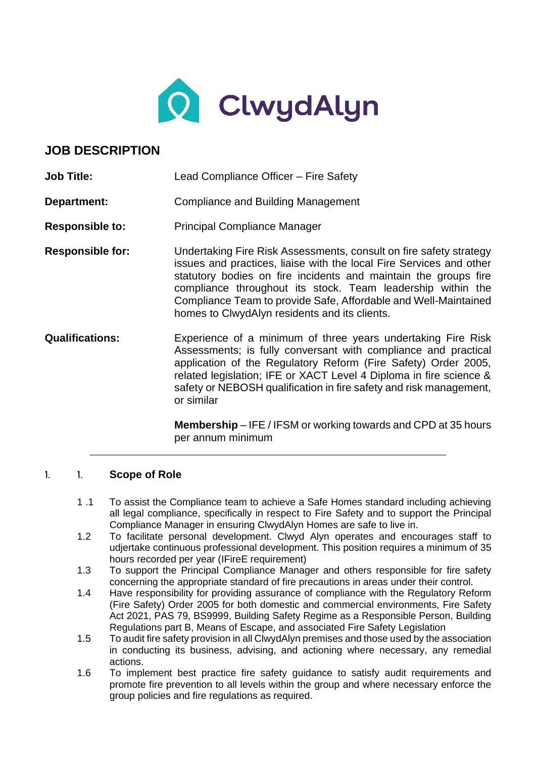

# **JOB DESCRIPTION**

| <b>Job Title:</b>       | Lead Compliance Officer - Fire Safety                                                                                                                                                                                                                                                                                                                                                           |
|-------------------------|-------------------------------------------------------------------------------------------------------------------------------------------------------------------------------------------------------------------------------------------------------------------------------------------------------------------------------------------------------------------------------------------------|
| Department:             | Compliance and Building Management                                                                                                                                                                                                                                                                                                                                                              |
| <b>Responsible to:</b>  | <b>Principal Compliance Manager</b>                                                                                                                                                                                                                                                                                                                                                             |
| <b>Responsible for:</b> | Undertaking Fire Risk Assessments, consult on fire safety strategy<br>issues and practices, liaise with the local Fire Services and other<br>statutory bodies on fire incidents and maintain the groups fire<br>compliance throughout its stock. Team leadership within the<br>Compliance Team to provide Safe, Affordable and Well-Maintained<br>homes to ClwydAlyn residents and its clients. |
| <b>Qualifications:</b>  | Experience of a minimum of three years undertaking Fire Risk<br>Assessments; is fully conversant with compliance and practical<br>application of the Regulatory Reform (Fire Safety) Order 2005,<br>related legislation; IFE or XACT Level 4 Diploma in fire science &<br>safety or NEBOSH qualification in fire safety and risk management,<br>or similar                                      |
|                         | <b>Membership</b> – IFE / IFSM or working towards and CPD at 35 hours<br>per annum minimum                                                                                                                                                                                                                                                                                                      |

#### 1. 1. **Scope of Role**

- 1 .1 To assist the Compliance team to achieve a Safe Homes standard including achieving all legal compliance, specifically in respect to Fire Safety and to support the Principal Compliance Manager in ensuring ClwydAlyn Homes are safe to live in.
- 1.2 To facilitate personal development. Clwyd Alyn operates and encourages staff to udjertake continuous professional development. This position requires a minimum of 35 hours recorded per year (IFireE requirement)
- 1.3 To support the Principal Compliance Manager and others responsible for fire safety concerning the appropriate standard of fire precautions in areas under their control.
- 1.4 Have responsibility for providing assurance of compliance with the Regulatory Reform (Fire Safety) Order 2005 for both domestic and commercial environments, Fire Safety Act 2021, PAS 79, BS9999, Building Safety Regime as a Responsible Person, Building Regulations part B, Means of Escape, and associated Fire Safety Legislation
- 1.5 To audit fire safety provision in all ClwydAlyn premises and those used by the association in conducting its business, advising, and actioning where necessary, any remedial actions.
- 1.6 To implement best practice fire safety guidance to satisfy audit requirements and promote fire prevention to all levels within the group and where necessary enforce the group policies and fire regulations as required.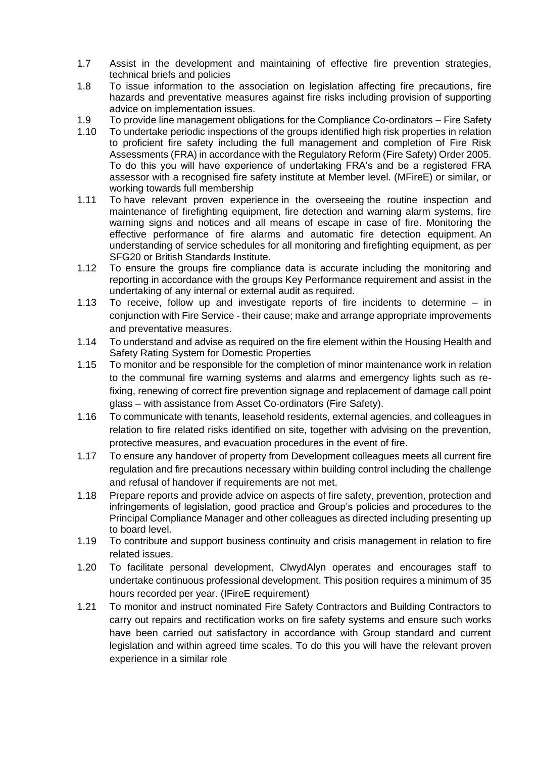- 1.7 Assist in the development and maintaining of effective fire prevention strategies, technical briefs and policies
- 1.8 To issue information to the association on legislation affecting fire precautions, fire hazards and preventative measures against fire risks including provision of supporting advice on implementation issues.
- 1.9 To provide line management obligations for the Compliance Co-ordinators Fire Safety
- 1.10 To undertake periodic inspections of the groups identified high risk properties in relation to proficient fire safety including the full management and completion of Fire Risk Assessments (FRA) in accordance with the Regulatory Reform (Fire Safety) Order 2005. To do this you will have experience of undertaking FRA's and be a registered FRA assessor with a recognised fire safety institute at Member level. (MFireE) or similar, or working towards full membership
- 1.11 To have relevant proven experience in the overseeing the routine inspection and maintenance of firefighting equipment, fire detection and warning alarm systems, fire warning signs and notices and all means of escape in case of fire. Monitoring the effective performance of fire alarms and automatic fire detection equipment. An understanding of service schedules for all monitoring and firefighting equipment, as per SFG20 or British Standards Institute.
- 1.12 To ensure the groups fire compliance data is accurate including the monitoring and reporting in accordance with the groups Key Performance requirement and assist in the undertaking of any internal or external audit as required.
- 1.13 To receive, follow up and investigate reports of fire incidents to determine in conjunction with Fire Service - their cause; make and arrange appropriate improvements and preventative measures.
- 1.14 To understand and advise as required on the fire element within the Housing Health and Safety Rating System for Domestic Properties
- 1.15 To monitor and be responsible for the completion of minor maintenance work in relation to the communal fire warning systems and alarms and emergency lights such as refixing, renewing of correct fire prevention signage and replacement of damage call point glass – with assistance from Asset Co-ordinators (Fire Safety).
- 1.16 To communicate with tenants, leasehold residents, external agencies, and colleagues in relation to fire related risks identified on site, together with advising on the prevention, protective measures, and evacuation procedures in the event of fire.
- 1.17 To ensure any handover of property from Development colleagues meets all current fire regulation and fire precautions necessary within building control including the challenge and refusal of handover if requirements are not met.
- 1.18 Prepare reports and provide advice on aspects of fire safety, prevention, protection and infringements of legislation, good practice and Group's policies and procedures to the Principal Compliance Manager and other colleagues as directed including presenting up to board level.
- 1.19 To contribute and support business continuity and crisis management in relation to fire related issues.
- 1.20 To facilitate personal development, ClwydAlyn operates and encourages staff to undertake continuous professional development. This position requires a minimum of 35 hours recorded per year. (IFireE requirement)
- 1.21 To monitor and instruct nominated Fire Safety Contractors and Building Contractors to carry out repairs and rectification works on fire safety systems and ensure such works have been carried out satisfactory in accordance with Group standard and current legislation and within agreed time scales. To do this you will have the relevant proven experience in a similar role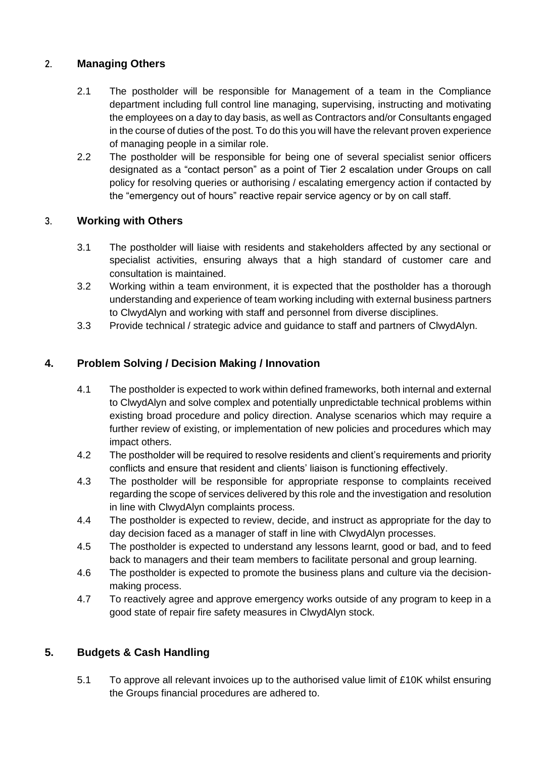#### 2. **Managing Others**

- 2.1 The postholder will be responsible for Management of a team in the Compliance department including full control line managing, supervising, instructing and motivating the employees on a day to day basis, as well as Contractors and/or Consultants engaged in the course of duties of the post. To do this you will have the relevant proven experience of managing people in a similar role.
- 2.2 The postholder will be responsible for being one of several specialist senior officers designated as a "contact person" as a point of Tier 2 escalation under Groups on call policy for resolving queries or authorising / escalating emergency action if contacted by the "emergency out of hours" reactive repair service agency or by on call staff.

### **3. Working with Others**

- 3.1 The postholder will liaise with residents and stakeholders affected by any sectional or specialist activities, ensuring always that a high standard of customer care and consultation is maintained.
- 3.2 Working within a team environment, it is expected that the postholder has a thorough understanding and experience of team working including with external business partners to ClwydAlyn and working with staff and personnel from diverse disciplines.
- 3.3 Provide technical / strategic advice and guidance to staff and partners of ClwydAlyn.

### **4. Problem Solving / Decision Making / Innovation**

- 4.1 The postholder is expected to work within defined frameworks, both internal and external to ClwydAlyn and solve complex and potentially unpredictable technical problems within existing broad procedure and policy direction. Analyse scenarios which may require a further review of existing, or implementation of new policies and procedures which may impact others.
- 4.2 The postholder will be required to resolve residents and client's requirements and priority conflicts and ensure that resident and clients' liaison is functioning effectively.
- 4.3 The postholder will be responsible for appropriate response to complaints received regarding the scope of services delivered by this role and the investigation and resolution in line with ClwydAlyn complaints process.
- 4.4 The postholder is expected to review, decide, and instruct as appropriate for the day to day decision faced as a manager of staff in line with ClwydAlyn processes.
- 4.5 The postholder is expected to understand any lessons learnt, good or bad, and to feed back to managers and their team members to facilitate personal and group learning.
- 4.6 The postholder is expected to promote the business plans and culture via the decisionmaking process.
- 4.7 To reactively agree and approve emergency works outside of any program to keep in a good state of repair fire safety measures in ClwydAlyn stock.

## **5. Budgets & Cash Handling**

5.1 To approve all relevant invoices up to the authorised value limit of £10K whilst ensuring the Groups financial procedures are adhered to.